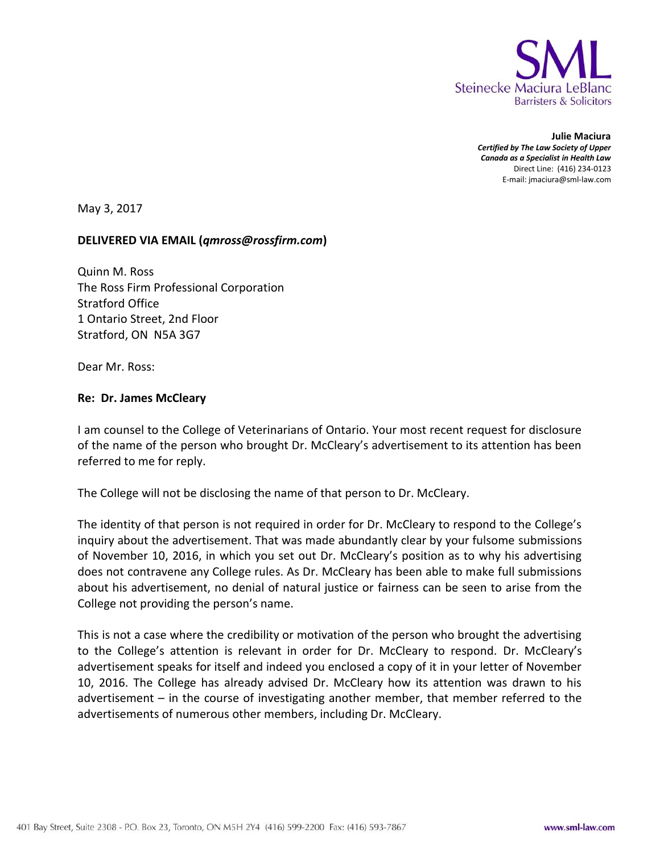

**Julie Maciura** *Certified by The Law Society of Upper Canada as a Specialist in Health Law* Direct Line: (416) 234-0123 E-mail: jmaciura@sml-law.com

May 3, 2017

## **DELIVERED VIA EMAIL (***qmross@rossfirm.com***)**

Quinn M. Ross The Ross Firm Professional Corporation Stratford Office 1 Ontario Street, 2nd Floor Stratford, ON N5A 3G7

Dear Mr. Ross:

## **Re: Dr. James McCleary**

I am counsel to the College of Veterinarians of Ontario. Your most recent request for disclosure of the name of the person who brought Dr. McCleary's advertisement to its attention has been referred to me for reply.

The College will not be disclosing the name of that person to Dr. McCleary.

The identity of that person is not required in order for Dr. McCleary to respond to the College's inquiry about the advertisement. That was made abundantly clear by your fulsome submissions of November 10, 2016, in which you set out Dr. McCleary's position as to why his advertising does not contravene any College rules. As Dr. McCleary has been able to make full submissions about his advertisement, no denial of natural justice or fairness can be seen to arise from the College not providing the person's name.

This is not a case where the credibility or motivation of the person who brought the advertising to the College's attention is relevant in order for Dr. McCleary to respond. Dr. McCleary's advertisement speaks for itself and indeed you enclosed a copy of it in your letter of November 10, 2016. The College has already advised Dr. McCleary how its attention was drawn to his advertisement – in the course of investigating another member, that member referred to the advertisements of numerous other members, including Dr. McCleary.